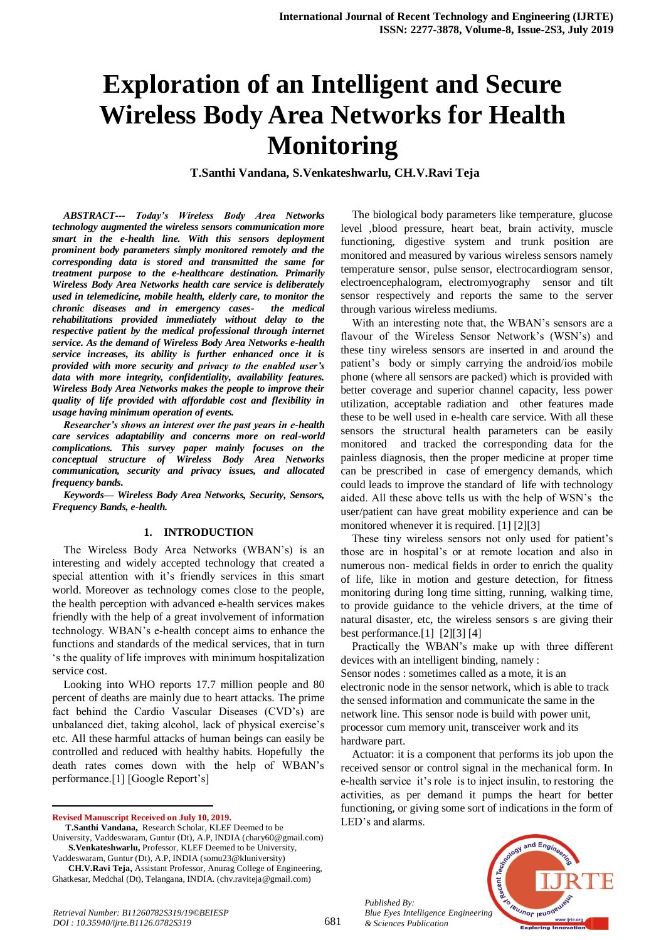# **Exploration of an Intelligent and Secure Wireless Body Area Networks for Health Monitoring**

**T.Santhi Vandana, S.Venkateshwarlu, CH.V.Ravi Teja**

*ABSTRACT--- Today's Wireless Body Area Networks technology augmented the wireless sensors communication more smart in the e-health line. With this sensors deployment prominent body parameters simply monitored remotely and the corresponding data is stored and transmitted the same for treatment purpose to the e-healthcare destination. Primarily Wireless Body Area Networks health care service is deliberately used in telemedicine, mobile health, elderly care, to monitor the chronic diseases and in emergency casesrehabilitations provided immediately without delay to the respective patient by the medical professional through internet service. As the demand of Wireless Body Area Networks e-health service increases, its ability is further enhanced once it is provided with more security and privacy to the enabled user's data with more integrity, confidentiality, availability features. Wireless Body Area Networks makes the people to improve their quality of life provided with affordable cost and flexibility in usage having minimum operation of events.*

*Researcher's shows an interest over the past years in e-health care services adaptability and concerns more on real-world complications. This survey paper mainly focuses on the conceptual structure of Wireless Body Area Networks communication, security and privacy issues, and allocated frequency bands.*

*Keywords— Wireless Body Area Networks, Security, Sensors, Frequency Bands, e-health.*

#### **1. INTRODUCTION**

The Wireless Body Area Networks (WBAN's) is an interesting and widely accepted technology that created a special attention with it's friendly services in this smart world. Moreover as technology comes close to the people, the health perception with advanced e-health services makes friendly with the help of a great involvement of information technology. WBAN's e-health concept aims to enhance the functions and standards of the medical services, that in turn 's the quality of life improves with minimum hospitalization service cost.

Looking into WHO reports 17.7 million people and 80 percent of deaths are mainly due to heart attacks. The prime fact behind the Cardio Vascular Diseases (CVD's) are unbalanced diet, taking alcohol, lack of physical exercise's etc. All these harmful attacks of human beings can easily be controlled and reduced with healthy habits. Hopefully the death rates comes down with the help of WBAN's performance.[1] [Google Report's]

**Revised Manuscript Received on July 10, 2019.**

 $\overline{a}$ 

Vaddeswaram, Guntur (Dt), A.P, INDIA (somu23@kluniversity)

The biological body parameters like temperature, glucose level ,blood pressure, heart beat, brain activity, muscle functioning, digestive system and trunk position are monitored and measured by various wireless sensors namely temperature sensor, pulse sensor, electrocardiogram sensor, electroencephalogram, electromyography sensor and tilt sensor respectively and reports the same to the server through various wireless mediums.

With an interesting note that, the WBAN's sensors are a flavour of the Wireless Sensor Network's (WSN's) and these tiny wireless sensors are inserted in and around the patient's body or simply carrying the android/ios mobile phone (where all sensors are packed) which is provided with better coverage and superior channel capacity, less power utilization, acceptable radiation and other features made these to be well used in e-health care service. With all these sensors the structural health parameters can be easily monitored and tracked the corresponding data for the painless diagnosis, then the proper medicine at proper time can be prescribed in case of emergency demands, which could leads to improve the standard of life with technology aided. All these above tells us with the help of WSN's the user/patient can have great mobility experience and can be monitored whenever it is required. [1] [2][3]

These tiny wireless sensors not only used for patient's those are in hospital's or at remote location and also in numerous non- medical fields in order to enrich the quality of life, like in motion and gesture detection, for fitness monitoring during long time sitting, running, walking time, to provide guidance to the vehicle drivers, at the time of natural disaster, etc, the wireless sensors s are giving their best performance.[1] [2][3] [4]

Practically the WBAN's make up with three different devices with an intelligent binding, namely : Sensor nodes : sometimes called as a mote, it is an electronic node in the sensor network, which is able to track the sensed information and communicate the same in the network line. This sensor node is build with power unit, processor cum memory unit, transceiver work and its hardware part.

Actuator: it is a component that performs its job upon the received sensor or control signal in the mechanical form. In e-health service it's role is to inject insulin, to restoring the activities, as per demand it pumps the heart for better functioning, or giving some sort of indications in the form of LED's and alarms.



681

**T.Santhi Vandana,** Research Scholar, KLEF Deemed to be University, Vaddeswaram, Guntur (Dt), A.P, INDIA (chary60@gmail.com) **S.Venkateshwarlu,** Professor, KLEF Deemed to be University,

**CH.V.Ravi Teja,** Assistant Professor, Anurag College of Engineering, Ghatkesar, Medchal (Dt), Telangana, INDIA. (chv.raviteja@gmail.com)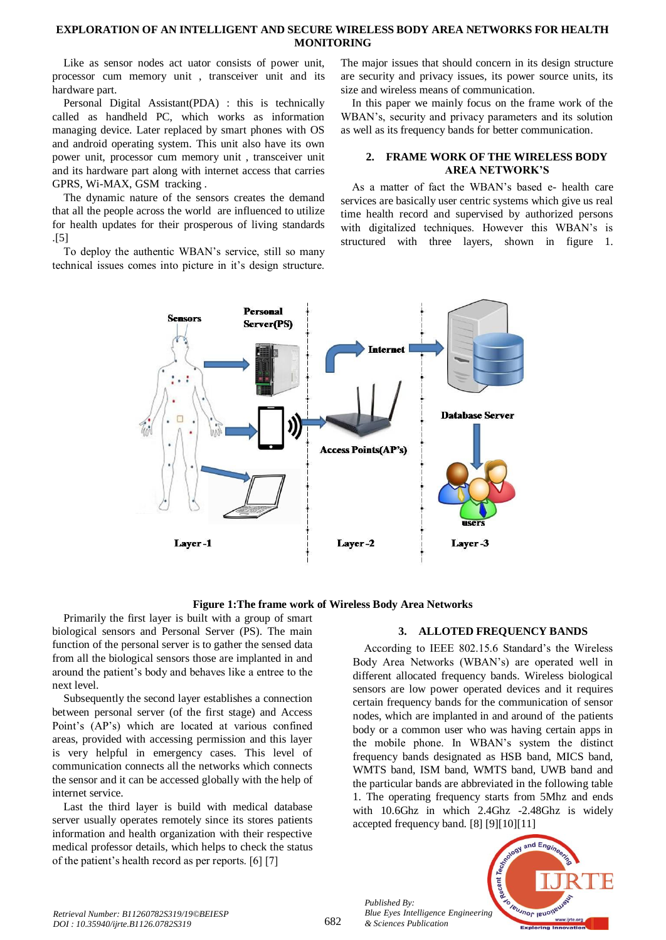# **EXPLORATION OF AN INTELLIGENT AND SECURE WIRELESS BODY AREA NETWORKS FOR HEALTH MONITORING**

Like as sensor nodes act uator consists of power unit, processor cum memory unit , transceiver unit and its hardware part.

Personal Digital Assistant(PDA) : this is technically called as handheld PC, which works as information managing device. Later replaced by smart phones with OS and android operating system. This unit also have its own power unit, processor cum memory unit , transceiver unit and its hardware part along with internet access that carries GPRS, Wi-MAX, GSM tracking .

The dynamic nature of the sensors creates the demand that all the people across the world are influenced to utilize for health updates for their prosperous of living standards .[5]

To deploy the authentic WBAN's service, still so many technical issues comes into picture in it's design structure.

The major issues that should concern in its design structure are security and privacy issues, its power source units, its size and wireless means of communication.

In this paper we mainly focus on the frame work of the WBAN's, security and privacy parameters and its solution as well as its frequency bands for better communication.

### **2. FRAME WORK OF THE WIRELESS BODY AREA NETWORK'S**

As a matter of fact the WBAN's based e- health care services are basically user centric systems which give us real time health record and supervised by authorized persons with digitalized techniques. However this WBAN's is structured with three layers, shown in figure 1.



**Figure 1:The frame work of Wireless Body Area Networks**

Primarily the first layer is built with a group of smart biological sensors and Personal Server (PS). The main function of the personal server is to gather the sensed data from all the biological sensors those are implanted in and around the patient's body and behaves like a entree to the next level.

Subsequently the second layer establishes a connection between personal server (of the first stage) and Access Point's (AP's) which are located at various confined areas, provided with accessing permission and this layer is very helpful in emergency cases. This level of communication connects all the networks which connects the sensor and it can be accessed globally with the help of internet service.

Last the third layer is build with medical database server usually operates remotely since its stores patients information and health organization with their respective medical professor details, which helps to check the status of the patient's health record as per reports. [6] [7]

# **3. ALLOTED FREQUENCY BANDS**

According to IEEE 802.15.6 Standard's the Wireless Body Area Networks (WBAN's) are operated well in different allocated frequency bands. Wireless biological sensors are low power operated devices and it requires certain frequency bands for the communication of sensor nodes, which are implanted in and around of the patients body or a common user who was having certain apps in the mobile phone. In WBAN's system the distinct frequency bands designated as HSB band, MICS band, WMTS band, ISM band, WMTS band, UWB band and the particular bands are abbreviated in the following table 1. The operating frequency starts from 5Mhz and ends with 10.6Ghz in which 2.4Ghz -2.48Ghz is widely accepted frequency band. [8] [9][10][11]

*Published By: Blue Eyes Intelligence Engineering & Sciences Publication* 

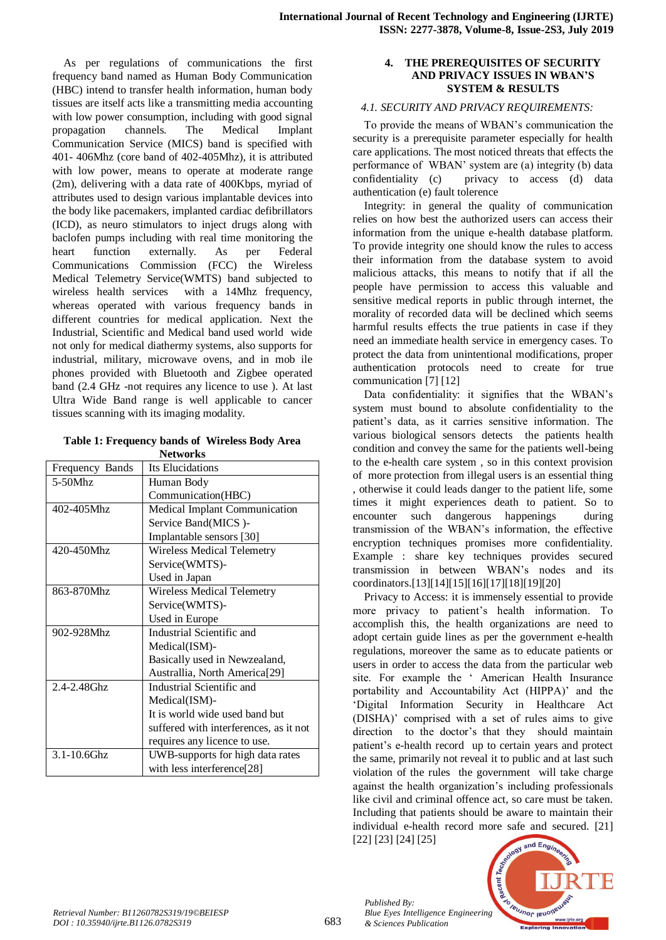As per regulations of communications the first frequency band named as Human Body Communication (HBC) intend to transfer health information, human body tissues are itself acts like a transmitting media accounting with low power consumption, including with good signal propagation channels. The Medical Implant Communication Service (MICS) band is specified with 401- 406Mhz (core band of 402-405Mhz), it is attributed with low power, means to operate at moderate range (2m), delivering with a data rate of 400Kbps, myriad of attributes used to design various implantable devices into the body like pacemakers, implanted cardiac defibrillators (ICD), as neuro stimulators to inject drugs along with baclofen pumps including with real time monitoring the heart function externally. As per Federal Communications Commission (FCC) the Wireless Medical Telemetry Service(WMTS) band subjected to wireless health services with a 14Mhz frequency, whereas operated with various frequency bands in different countries for medical application. Next the Industrial, Scientific and Medical band used world wide not only for medical diathermy systems, also supports for industrial, military, microwave ovens, and in mob ile phones provided with Bluetooth and Zigbee operated band (2.4 GHz -not requires any licence to use ). At last Ultra Wide Band range is well applicable to cancer tissues scanning with its imaging modality.

### **Table 1: Frequency bands of Wireless Body Area Networks**

| <b>NELWOUKS</b>  |                                           |
|------------------|-------------------------------------------|
| Frequency Bands  | Its Elucidations                          |
| $5-50$ Mhz       | Human Body                                |
|                  | Communication(HBC)                        |
| 402-405Mhz       | Medical Implant Communication             |
|                  | Service Band(MICS)-                       |
|                  | Implantable sensors [30]                  |
| 420-450Mhz       | <b>Wireless Medical Telemetry</b>         |
|                  | Service(WMTS)-                            |
|                  | Used in Japan                             |
| 863-870Mhz       | <b>Wireless Medical Telemetry</b>         |
|                  | Service(WMTS)-                            |
|                  | Used in Europe                            |
| 902-928Mhz       | Industrial Scientific and                 |
|                  | Medical(ISM)-                             |
|                  | Basically used in Newzealand,             |
|                  | Australlia, North America <sup>[29]</sup> |
| $2.4 - 2.48$ Ghz | Industrial Scientific and                 |
|                  | Medical(ISM)-                             |
|                  | It is world wide used band but            |
|                  | suffered with interferences, as it not    |
|                  | requires any licence to use.              |
| 3.1-10.6Ghz      | UWB-supports for high data rates          |
|                  | with less interference[28]                |

### **4. THE PREREQUISITES OF SECURITY AND PRIVACY ISSUES IN WBAN'S SYSTEM & RESULTS**

# *4.1. SECURITY AND PRIVACY REQUIREMENTS:*

To provide the means of WBAN's communication the security is a prerequisite parameter especially for health care applications. The most noticed threats that effects the performance of WBAN' system are (a) integrity (b) data confidentiality (c) privacy to access (d) data authentication (e) fault tolerence

Integrity: in general the quality of communication relies on how best the authorized users can access their information from the unique e-health database platform. To provide integrity one should know the rules to access their information from the database system to avoid malicious attacks, this means to notify that if all the people have permission to access this valuable and sensitive medical reports in public through internet, the morality of recorded data will be declined which seems harmful results effects the true patients in case if they need an immediate health service in emergency cases. To protect the data from unintentional modifications, proper authentication protocols need to create for true communication [7] [12]

Data confidentiality: it signifies that the WBAN's system must bound to absolute confidentiality to the patient's data, as it carries sensitive information. The various biological sensors detects the patients health condition and convey the same for the patients well-being to the e-health care system , so in this context provision of more protection from illegal users is an essential thing , otherwise it could leads danger to the patient life, some times it might experiences death to patient. So to encounter such dangerous happenings during transmission of the WBAN's information, the effective encryption techniques promises more confidentiality. Example : share key techniques provides secured transmission in between WBAN's nodes and its coordinators.[13][14][15][16][17][18][19][20]

Privacy to Access: it is immensely essential to provide more privacy to patient's health information. To accomplish this, the health organizations are need to adopt certain guide lines as per the government e-health regulations, moreover the same as to educate patients or users in order to access the data from the particular web site. For example the ' American Health Insurance portability and Accountability Act (HIPPA)' and the 'Digital Information Security in Healthcare Act (DISHA)' comprised with a set of rules aims to give direction to the doctor's that they should maintain patient's e-health record up to certain years and protect the same, primarily not reveal it to public and at last such violation of the rules the government will take charge against the health organization's including professionals like civil and criminal offence act, so care must be taken. Including that patients should be aware to maintain their individual e-health record more safe and secured. [21] [22] [23] [24] [25]

*Published By:*

*& Sciences Publication* 

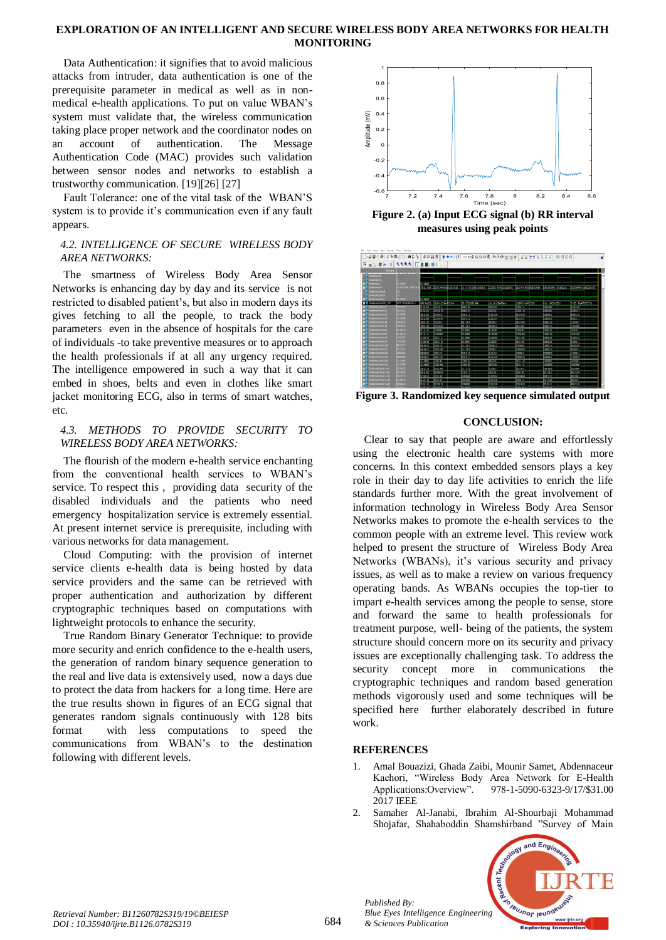## **EXPLORATION OF AN INTELLIGENT AND SECURE WIRELESS BODY AREA NETWORKS FOR HEALTH MONITORING**

Data Authentication: it signifies that to avoid malicious attacks from intruder, data authentication is one of the prerequisite parameter in medical as well as in nonmedical e-health applications. To put on value WBAN's system must validate that, the wireless communication taking place proper network and the coordinator nodes on an account of authentication. The Message Authentication Code (MAC) provides such validation between sensor nodes and networks to establish a trustworthy communication. [19][26] [27]

Fault Tolerance: one of the vital task of the WBAN'S system is to provide it's communication even if any fault appears.

# *4.2. INTELLIGENCE OF SECURE WIRELESS BODY AREA NETWORKS:*

The smartness of Wireless Body Area Sensor Networks is enhancing day by day and its service is not restricted to disabled patient's, but also in modern days its gives fetching to all the people, to track the body parameters even in the absence of hospitals for the care of individuals -to take preventive measures or to approach the health professionals if at all any urgency required. The intelligence empowered in such a way that it can embed in shoes, belts and even in clothes like smart jacket monitoring ECG, also in terms of smart watches, etc.

# *4.3. METHODS TO PROVIDE SECURITY TO WIRELESS BODY AREA NETWORKS:*

The flourish of the modern e-health service enchanting from the conventional health services to WBAN's service. To respect this , providing data security of the disabled individuals and the patients who need emergency hospitalization service is extremely essential. At present internet service is prerequisite, including with various networks for data management.

Cloud Computing: with the provision of internet service clients e-health data is being hosted by data service providers and the same can be retrieved with proper authentication and authorization by different cryptographic techniques based on computations with lightweight protocols to enhance the security.

True Random Binary Generator Technique: to provide more security and enrich confidence to the e-health users, the generation of random binary sequence generation to the real and live data is extensively used, now a days due to protect the data from hackers for a long time. Here are the true results shown in figures of an ECG signal that generates random signals continuously with 128 bits format with less computations to speed the communications from WBAN's to the destination following with different levels.



**Figure 2. (a) Input ECG signal (b) RR interval measures using peak points**



**Figure 3. Randomized key sequence simulated output**

# **CONCLUSION:**

Clear to say that people are aware and effortlessly using the electronic health care systems with more concerns. In this context embedded sensors plays a key role in their day to day life activities to enrich the life standards further more. With the great involvement of information technology in Wireless Body Area Sensor Networks makes to promote the e-health services to the common people with an extreme level. This review work helped to present the structure of Wireless Body Area Networks (WBANs), it's various security and privacy issues, as well as to make a review on various frequency operating bands. As WBANs occupies the top-tier to impart e-health services among the people to sense, store and forward the same to health professionals for treatment purpose, well- being of the patients, the system structure should concern more on its security and privacy issues are exceptionally challenging task. To address the security concept more in communications the cryptographic techniques and random based generation methods vigorously used and some techniques will be specified here further elaborately described in future work.

# **REFERENCES**

*Published By:*

*& Sciences Publication* 

- 1. Amal Bouazizi, Ghada Zaibi, Mounir Samet, Abdennaceur Kachori, "Wireless Body Area Network for E-Health Applications:Overview". 978-1-5090-6323-9/17/\$31.00 2017 IEEE
- 2. Samaher Al-Janabi, Ibrahim Al-Shourbaji Mohammad Shojafar, Shahaboddin Shamshirband "Survey of Main